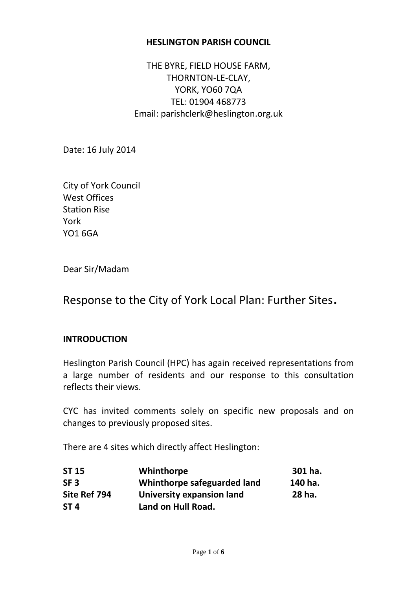#### **HESLINGTON PARISH COUNCIL**

THE BYRE, FIELD HOUSE FARM, THORNTON-LE-CLAY, YORK, YO60 7QA TEL: 01904 468773 Email: parishclerk@heslington.org.uk

Date: 16 July 2014

City of York Council West Offices Station Rise York YO1 6GA

Dear Sir/Madam

# Response to the City of York Local Plan: Further Sites.

#### **INTRODUCTION**

Heslington Parish Council (HPC) has again received representations from a large number of residents and our response to this consultation reflects their views.

CYC has invited comments solely on specific new proposals and on changes to previously proposed sites.

There are 4 sites which directly affect Heslington:

| <b>ST 15</b>    | Whinthorpe                       | 301 ha. |
|-----------------|----------------------------------|---------|
| SF <sub>3</sub> | Whinthorpe safeguarded land      | 140 ha. |
| Site Ref 794    | <b>University expansion land</b> | 28 ha.  |
| ST <sub>4</sub> | Land on Hull Road.               |         |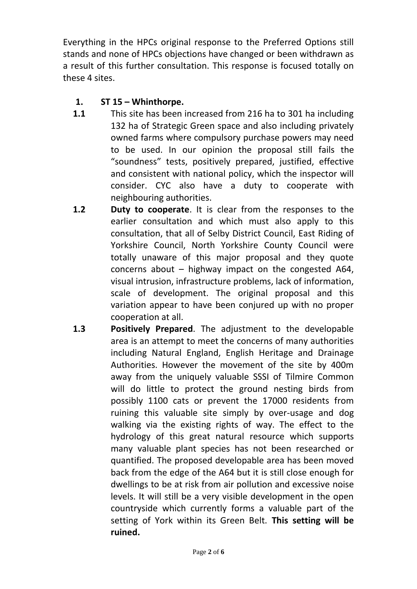Everything in the HPCs original response to the Preferred Options still stands and none of HPCs objections have changed or been withdrawn as a result of this further consultation. This response is focused totally on these 4 sites.

## **1. ST 15 – Whinthorpe.**

- **1.1** This site has been increased from 216 ha to 301 ha including 132 ha of Strategic Green space and also including privately owned farms where compulsory purchase powers may need to be used. In our opinion the proposal still fails the "soundness" tests, positively prepared, justified, effective and consistent with national policy, which the inspector will consider. CYC also have a duty to cooperate with neighbouring authorities.
- **1.2 Duty to cooperate**. It is clear from the responses to the earlier consultation and which must also apply to this consultation, that all of Selby District Council, East Riding of Yorkshire Council, North Yorkshire County Council were totally unaware of this major proposal and they quote concerns about – highway impact on the congested A64, visual intrusion, infrastructure problems, lack of information, scale of development. The original proposal and this variation appear to have been conjured up with no proper cooperation at all.
- **1.3 Positively Prepared**. The adjustment to the developable area is an attempt to meet the concerns of many authorities including Natural England, English Heritage and Drainage Authorities. However the movement of the site by 400m away from the uniquely valuable SSSI of Tilmire Common will do little to protect the ground nesting birds from possibly 1100 cats or prevent the 17000 residents from ruining this valuable site simply by over-usage and dog walking via the existing rights of way. The effect to the hydrology of this great natural resource which supports many valuable plant species has not been researched or quantified. The proposed developable area has been moved back from the edge of the A64 but it is still close enough for dwellings to be at risk from air pollution and excessive noise levels. It will still be a very visible development in the open countryside which currently forms a valuable part of the setting of York within its Green Belt. **This setting will be ruined.**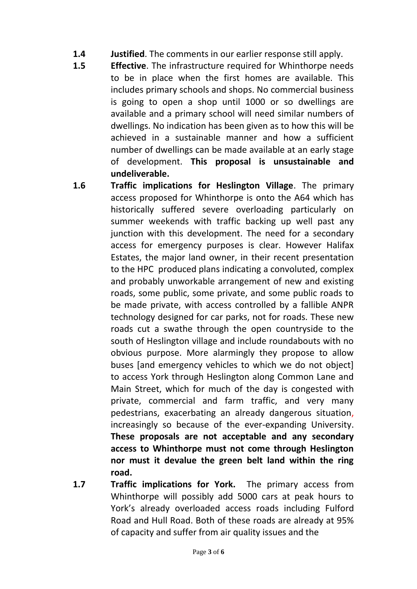- **1.4 Justified**. The comments in our earlier response still apply.
- **1.5 Effective**. The infrastructure required for Whinthorpe needs to be in place when the first homes are available. This includes primary schools and shops. No commercial business is going to open a shop until 1000 or so dwellings are available and a primary school will need similar numbers of dwellings. No indication has been given as to how this will be achieved in a sustainable manner and how a sufficient number of dwellings can be made available at an early stage of development. **This proposal is unsustainable and undeliverable.**
- **1.6 Traffic implications for Heslington Village**. The primary access proposed for Whinthorpe is onto the A64 which has historically suffered severe overloading particularly on summer weekends with traffic backing up well past any junction with this development. The need for a secondary access for emergency purposes is clear. However Halifax Estates, the major land owner, in their recent presentation to the HPC produced plans indicating a convoluted, complex and probably unworkable arrangement of new and existing roads, some public, some private, and some public roads to be made private, with access controlled by a fallible ANPR technology designed for car parks, not for roads. These new roads cut a swathe through the open countryside to the south of Heslington village and include roundabouts with no obvious purpose. More alarmingly they propose to allow buses [and emergency vehicles to which we do not object] to access York through Heslington along Common Lane and Main Street, which for much of the day is congested with private, commercial and farm traffic, and very many pedestrians, exacerbating an already dangerous situation, increasingly so because of the ever-expanding University. **These proposals are not acceptable and any secondary access to Whinthorpe must not come through Heslington nor must it devalue the green belt land within the ring road.**
- **1.7 Traffic implications for York.** The primary access from Whinthorpe will possibly add 5000 cars at peak hours to York's already overloaded access roads including Fulford Road and Hull Road. Both of these roads are already at 95% of capacity and suffer from air quality issues and the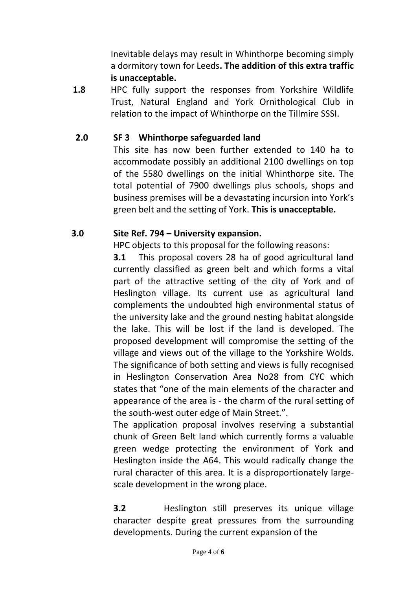Inevitable delays may result in Whinthorpe becoming simply a dormitory town for Leeds**. The addition of this extra traffic is unacceptable.**

**1.8** HPC fully support the responses from Yorkshire Wildlife Trust, Natural England and York Ornithological Club in relation to the impact of Whinthorpe on the Tillmire SSSI.

## **2.0 SF 3 Whinthorpe safeguarded land**

This site has now been further extended to 140 ha to accommodate possibly an additional 2100 dwellings on top of the 5580 dwellings on the initial Whinthorpe site. The total potential of 7900 dwellings plus schools, shops and business premises will be a devastating incursion into York's green belt and the setting of York. **This is unacceptable.**

### **3.0 Site Ref. 794 – University expansion.**

HPC objects to this proposal for the following reasons:

**3.1** This proposal covers 28 ha of good agricultural land currently classified as green belt and which forms a vital part of the attractive setting of the city of York and of Heslington village. Its current use as agricultural land complements the undoubted high environmental status of the university lake and the ground nesting habitat alongside the lake. This will be lost if the land is developed. The proposed development will compromise the setting of the village and views out of the village to the Yorkshire Wolds. The significance of both setting and views is fully recognised in Heslington Conservation Area No28 from CYC which states that "one of the main elements of the character and appearance of the area is - the charm of the rural setting of the south-west outer edge of Main Street.".

The application proposal involves reserving a substantial chunk of Green Belt land which currently forms a valuable green wedge protecting the environment of York and Heslington inside the A64. This would radically change the rural character of this area. It is a disproportionately largescale development in the wrong place.

**3.2** Heslington still preserves its unique village character despite great pressures from the surrounding developments. During the current expansion of the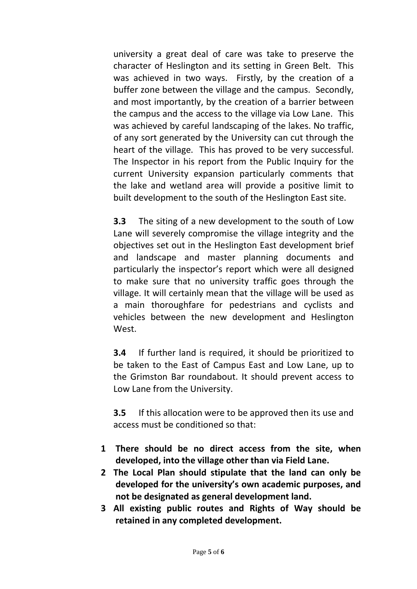university a great deal of care was take to preserve the character of Heslington and its setting in Green Belt. This was achieved in two ways. Firstly, by the creation of a buffer zone between the village and the campus. Secondly, and most importantly, by the creation of a barrier between the campus and the access to the village via Low Lane. This was achieved by careful landscaping of the lakes. No traffic, of any sort generated by the University can cut through the heart of the village. This has proved to be very successful. The Inspector in his report from the Public Inquiry for the current University expansion particularly comments that the lake and wetland area will provide a positive limit to built development to the south of the Heslington East site.

**3.3** The siting of a new development to the south of Low Lane will severely compromise the village integrity and the objectives set out in the Heslington East development brief and landscape and master planning documents and particularly the inspector's report which were all designed to make sure that no university traffic goes through the village. It will certainly mean that the village will be used as a main thoroughfare for pedestrians and cyclists and vehicles between the new development and Heslington West.

**3.4** If further land is required, it should be prioritized to be taken to the East of Campus East and Low Lane, up to the Grimston Bar roundabout. It should prevent access to Low Lane from the University.

**3.5** If this allocation were to be approved then its use and access must be conditioned so that:

- **1 There should be no direct access from the site, when developed, into the village other than via Field Lane.**
- **2 The Local Plan should stipulate that the land can only be developed for the university's own academic purposes, and not be designated as general development land.**
- **3 All existing public routes and Rights of Way should be retained in any completed development.**